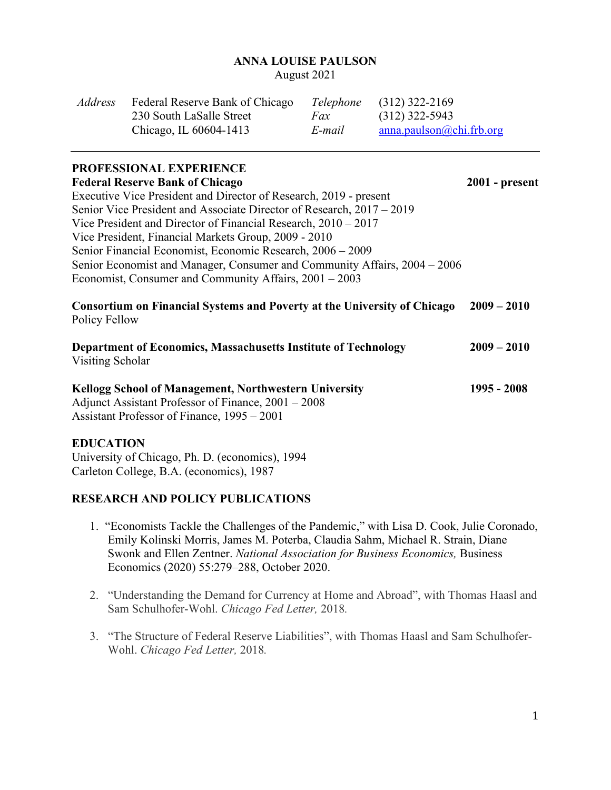#### **ANNA LOUISE PAULSON**

August 2021

| <i>Address</i> | Federal Reserve Bank of Chicago |        | <i>Telephone</i> (312) 322-2169 |
|----------------|---------------------------------|--------|---------------------------------|
|                | 230 South LaSalle Street        | Fax    | $(312)$ 322-5943                |
|                | Chicago, IL 60604-1413          | E-mail | anna.paulson@chi.frb.org        |

## **PROFESSIONAL EXPERIENCE**

| <b>Federal Reserve Bank of Chicago</b>                                                                                                                             | $2001$ - present |
|--------------------------------------------------------------------------------------------------------------------------------------------------------------------|------------------|
| Executive Vice President and Director of Research, 2019 - present                                                                                                  |                  |
| Senior Vice President and Associate Director of Research, 2017 – 2019                                                                                              |                  |
| Vice President and Director of Financial Research, $2010 - 2017$                                                                                                   |                  |
| Vice President, Financial Markets Group, 2009 - 2010                                                                                                               |                  |
| Senior Financial Economist, Economic Research, 2006 - 2009                                                                                                         |                  |
| Senior Economist and Manager, Consumer and Community Affairs, 2004 – 2006                                                                                          |                  |
| Economist, Consumer and Community Affairs, $2001 - 2003$                                                                                                           |                  |
| <b>Consortium on Financial Systems and Poverty at the University of Chicago</b><br>Policy Fellow                                                                   | $2009 - 2010$    |
| <b>Department of Economics, Massachusetts Institute of Technology</b><br>Visiting Scholar                                                                          | $2009 - 2010$    |
| <b>Kellogg School of Management, Northwestern University</b><br>Adjunct Assistant Professor of Finance, 2001 – 2008<br>Assistant Professor of Finance, 1995 – 2001 | 1995 - 2008      |

#### **EDUCATION**

University of Chicago, Ph. D. (economics), 1994 Carleton College, B.A. (economics), 1987

# **RESEARCH AND POLICY PUBLICATIONS**

- 1. "Economists Tackle the Challenges of the Pandemic," with Lisa D. Cook, Julie Coronado, Emily Kolinski Morris, James M. Poterba, Claudia Sahm, Michael R. Strain, Diane Swonk and Ellen Zentner. *National Association for Business Economics,* Business Economics (2020) 55:279–288, October 2020.
- 2. "Understanding the Demand for Currency at Home and Abroad", with Thomas Haasl and Sam Schulhofer-Wohl. *Chicago Fed Letter,* 2018*.*
- 3. "The Structure of Federal Reserve Liabilities", with Thomas Haasl and Sam Schulhofer-Wohl. *Chicago Fed Letter,* 2018*.*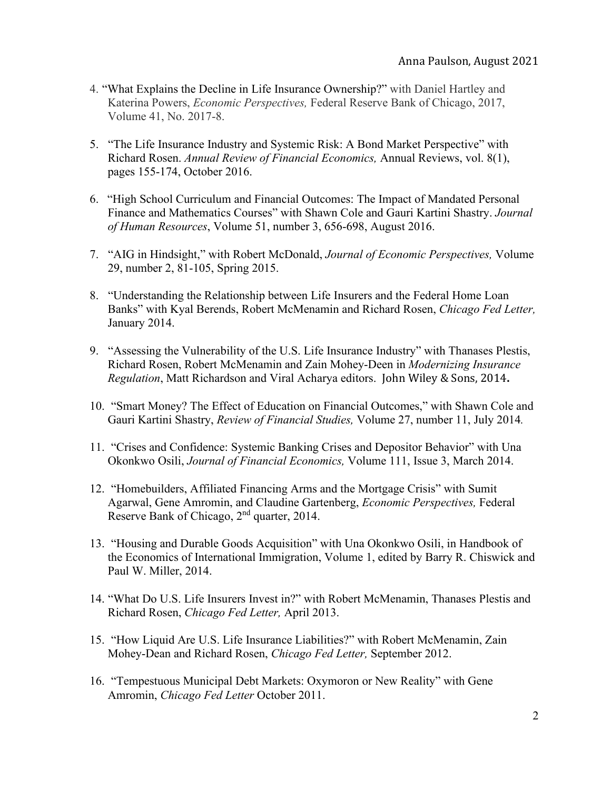- 4. ["What Explains the Decline in Life Insurance Ownership?"](https://www.chicagofed.org/publications/economic-perspectives/2017/8) with Daniel Hartley and Katerina Powers, *Economic Perspectives,* Federal Reserve Bank of Chicago, 2017, Volume 41, No. 2017-8.
- 5. ["The Life Insurance Industry and Systemic Risk: A Bond Market Perspective"](https://ideas.repec.org/a/anr/refeco/v8y2016p155-174.html) with Richard Rosen. *[Annual Review of Financial Economics,](https://ideas.repec.org/s/anr/refeco.html)* Annual Reviews, vol. 8(1), pages 155-174, October 2016.
- 6. "High School Curriculum and Financial Outcomes: The Impact of Mandated Personal Finance and Mathematics Courses" with Shawn Cole and Gauri Kartini Shastry. *Journal of Human Resources*, Volume 51, number 3, 656-698, August 2016.
- 7. "AIG in Hindsight," with Robert McDonald, *Journal of Economic Perspectives,* Volume 29, number 2, 81-105, Spring 2015.
- 8. "Understanding the Relationship between Life Insurers and the Federal Home Loan Banks" with Kyal Berends, Robert McMenamin and Richard Rosen, *Chicago Fed Letter,*  January 2014.
- 9. "Assessing the Vulnerability of the U.S. Life Insurance Industry" with Thanases Plestis, Richard Rosen, Robert McMenamin and Zain Mohey-Deen in *Modernizing Insurance Regulation*, Matt Richardson and Viral Acharya editors. John Wiley & Sons, 2014**.**
- 10. "Smart Money? The Effect of Education on Financial Outcomes," with Shawn Cole and Gauri Kartini Shastry, *Review of Financial Studies,* Volume 27, number 11, July 2014*.*
- 11. "Crises and Confidence: Systemic Banking Crises and Depositor Behavior" with Una Okonkwo Osili, *Journal of Financial Economics,* Volume 111, Issue 3, March 2014.
- 12. "Homebuilders, Affiliated Financing Arms and the Mortgage Crisis" with Sumit Agarwal, Gene Amromin, and Claudine Gartenberg, *Economic Perspectives,* Federal Reserve Bank of Chicago, 2nd quarter, 2014.
- 13. "Housing and Durable Goods Acquisition" with Una Okonkwo Osili, in Handbook of the Economics of International Immigration, Volume 1, edited by Barry R. Chiswick and Paul W. Miller, 2014.
- 14. "What Do U.S. Life Insurers Invest in?" with Robert McMenamin, Thanases Plestis and Richard Rosen, *Chicago Fed Letter,* April 2013.
- 15. "How Liquid Are U.S. Life Insurance Liabilities?" with Robert McMenamin, Zain Mohey-Dean and Richard Rosen, *Chicago Fed Letter,* September 2012.
- 16. "Tempestuous Municipal Debt Markets: Oxymoron or New Reality" with Gene Amromin, *Chicago Fed Letter* October 2011.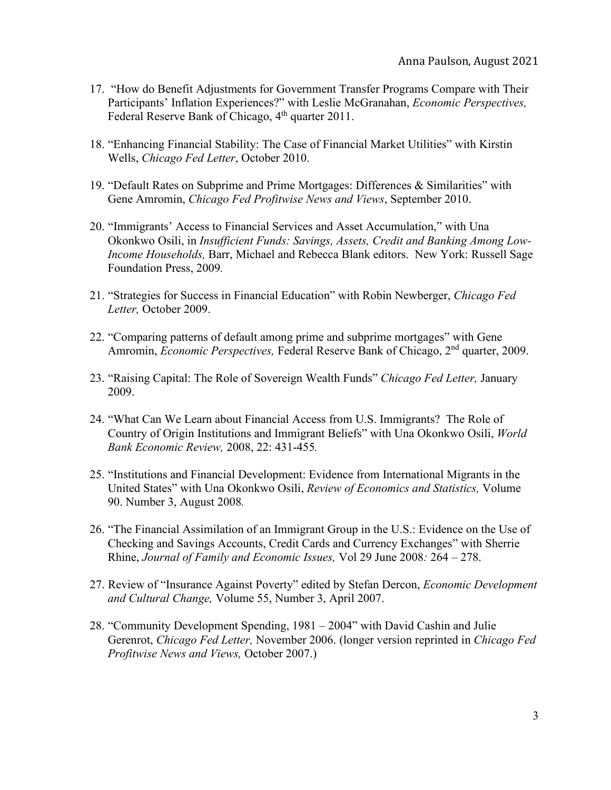- 17. "How do Benefit Adjustments for Government Transfer Programs Compare with Their Participants' Inflation Experiences?" with Leslie McGranahan, *Economic Perspectives,*  Federal Reserve Bank of Chicago, 4<sup>th</sup> quarter 2011.
- 18. "Enhancing Financial Stability: The Case of Financial Market Utilities" with Kirstin Wells, *Chicago Fed Letter*, October 2010.
- 19. "Default Rates on Subprime and Prime Mortgages: Differences & Similarities" with Gene Amromin, *Chicago Fed Profitwise News and Views*, September 2010.
- 20. "Immigrants' Access to Financial Services and Asset Accumulation," with Una Okonkwo Osili, in *Insufficient Funds: Savings, Assets, Credit and Banking Among Low-Income Households,* Barr, Michael and Rebecca Blank editors. New York: Russell Sage Foundation Press, 2009*.*
- 21. "Strategies for Success in Financial Education" with Robin Newberger, *Chicago Fed Letter,* October 2009.
- 22. "Comparing patterns of default among prime and subprime mortgages" with Gene Amromin, *Economic Perspectives*, Federal Reserve Bank of Chicago, 2<sup>nd</sup> quarter, 2009.
- 23. "Raising Capital: The Role of Sovereign Wealth Funds" *Chicago Fed Letter,* January 2009.
- 24. "What Can We Learn about Financial Access from U.S. Immigrants? The Role of Country of Origin Institutions and Immigrant Beliefs" with Una Okonkwo Osili, *World Bank Economic Review,* 2008, 22: 431-455*.*
- 25. "Institutions and Financial Development: Evidence from International Migrants in the United States" with Una Okonkwo Osili, *Review of Economics and Statistics,* Volume 90. Number 3, August 2008*.*
- 26. "The Financial Assimilation of an Immigrant Group in the U.S.: Evidence on the Use of Checking and Savings Accounts, Credit Cards and Currency Exchanges" with Sherrie Rhine, *Journal of Family and Economic Issues,* Vol 29 June 2008*:* 264 – 278.
- 27. Review of "Insurance Against Poverty" edited by Stefan Dercon, *Economic Development and Cultural Change,* Volume 55, Number 3, April 2007.
- 28. "Community Development Spending, 1981 2004" with David Cashin and Julie Gerenrot, *Chicago Fed Letter,* November 2006. (longer version reprinted in *Chicago Fed Profitwise News and Views,* October 2007.)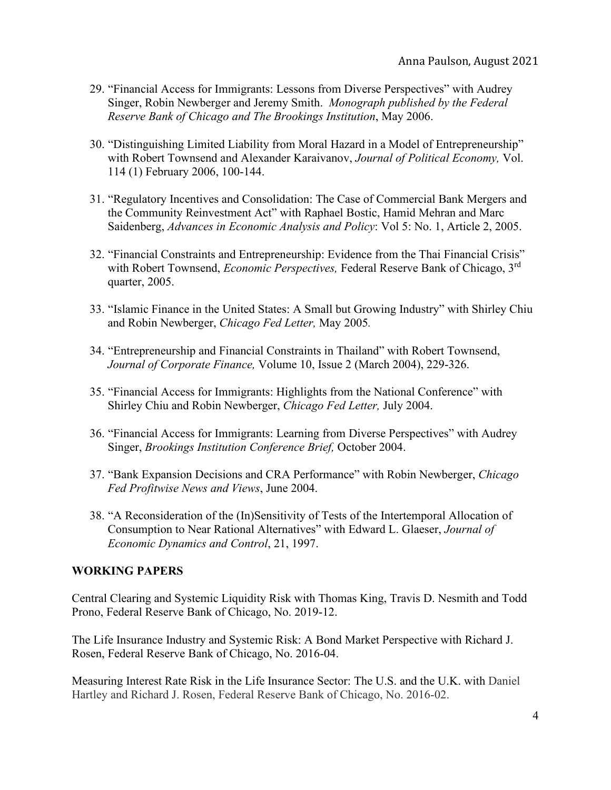- 29. "Financial Access for Immigrants: Lessons from Diverse Perspectives" with Audrey Singer, Robin Newberger and Jeremy Smith. *Monograph published by the Federal Reserve Bank of Chicago and The Brookings Institution*, May 2006.
- 30. "Distinguishing Limited Liability from Moral Hazard in a Model of Entrepreneurship" with Robert Townsend and Alexander Karaivanov, *Journal of Political Economy,* Vol. 114 (1) February 2006, 100-144.
- 31. "Regulatory Incentives and Consolidation: The Case of Commercial Bank Mergers and the Community Reinvestment Act" with Raphael Bostic, Hamid Mehran and Marc Saidenberg, *Advances in Economic Analysis and Policy*: Vol 5: No. 1, Article 2, 2005.
- 32. "Financial Constraints and Entrepreneurship: Evidence from the Thai Financial Crisis" with Robert Townsend, *Economic Perspectives,* Federal Reserve Bank of Chicago, 3rd quarter, 2005.
- 33. "Islamic Finance in the United States: A Small but Growing Industry" with Shirley Chiu and Robin Newberger, *Chicago Fed Letter,* May 2005*.*
- 34. "Entrepreneurship and Financial Constraints in Thailand" with Robert Townsend, *Journal of Corporate Finance,* Volume 10, Issue 2 (March 2004), 229-326.
- 35. "Financial Access for Immigrants: Highlights from the National Conference" with Shirley Chiu and Robin Newberger, *Chicago Fed Letter,* July 2004.
- 36. "Financial Access for Immigrants: Learning from Diverse Perspectives" with Audrey Singer, *Brookings Institution Conference Brief,* October 2004.
- 37. "Bank Expansion Decisions and CRA Performance" with Robin Newberger, *Chicago Fed Profitwise News and Views*, June 2004.
- 38. "A Reconsideration of the (In)Sensitivity of Tests of the Intertemporal Allocation of Consumption to Near Rational Alternatives" with Edward L. Glaeser, *Journal of Economic Dynamics and Control*, 21, 1997.

# **WORKING PAPERS**

Central Clearing and Systemic Liquidity Risk with Thomas King, Travis D. Nesmith and Todd Prono, Federal Reserve Bank of Chicago, No. 2019-12.

The Life Insurance Industry and Systemic Risk: A Bond Market Perspective with Richard J. Rosen, Federal Reserve Bank of Chicago, No. 2016-04.

[Measuring Interest Rate Risk in the Life Insurance Sector: The U.S. and the U.K.](https://www.chicagofed.org/publications/working-papers/2016/wp2016-02) with Daniel Hartley and Richard J. Rosen, Federal Reserve Bank of Chicago, No. 2016-02.